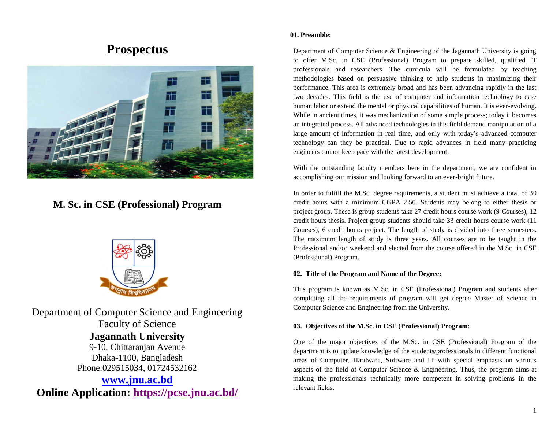# **Prospectus**



## **M. Sc. in CSE (Professional) Program**



Department of Computer Science and Engineering Faculty of Science **Jagannath University** 9-10, Chittaranjan Avenue Dhaka-1100, Bangladesh Phone:029515034, 01724532162 **[www.jnu.ac.bd](http://www.jnu.ac.bd/)**

**Online Application:<https://pcse.jnu.ac.bd/>**

#### **01. Preamble:**

Department of Computer Science & Engineering of the Jagannath University is going to offer M.Sc. in CSE (Professional) Program to prepare skilled, qualified IT professionals and researchers. The curricula will be formulated by teaching methodologies based on persuasive thinking to help students in maximizing their performance. This area is extremely broad and has been advancing rapidly in the last two decades. This field is the use of computer and information technology to ease human labor or extend the mental or physical capabilities of human. It is ever-evolving. While in ancient times, it was mechanization of some simple process; today it becomes an integrated process. All advanced technologies in this field demand manipulation of a large amount of information in real time, and only with today's advanced computer technology can they be practical. Due to rapid advances in field many practicing engineers cannot keep pace with the latest development.

With the outstanding faculty members here in the department, we are confident in accomplishing our mission and looking forward to an ever-bright future.

In order to fulfill the M.Sc. degree requirements, a student must achieve a total of 39 credit hours with a minimum CGPA 2.50. Students may belong to either thesis or project group. These is group students take 27 credit hours course work (9 Courses), 12 credit hours thesis. Project group students should take 33 credit hours course work (11 Courses), 6 credit hours project. The length of study is divided into three semesters. The maximum length of study is three years. All courses are to be taught in the Professional and/or weekend and elected from the course offered in the M.Sc. in CSE (Professional) Program.

#### **02. Title of the Program and Name of the Degree:**

This program is known as M.Sc. in CSE (Professional) Program and students after completing all the requirements of program will get degree Master of Science in Computer Science and Engineering from the University.

#### **03. Objectives of the M.Sc. in CSE (Professional) Program:**

One of the major objectives of the M.Sc. in CSE (Professional) Program of the department is to update knowledge of the students/professionals in different functional areas of Computer, Hardware, Software and IT with special emphasis on various aspects of the field of Computer Science & Engineering. Thus, the program aims at making the professionals technically more competent in solving problems in the relevant fields.